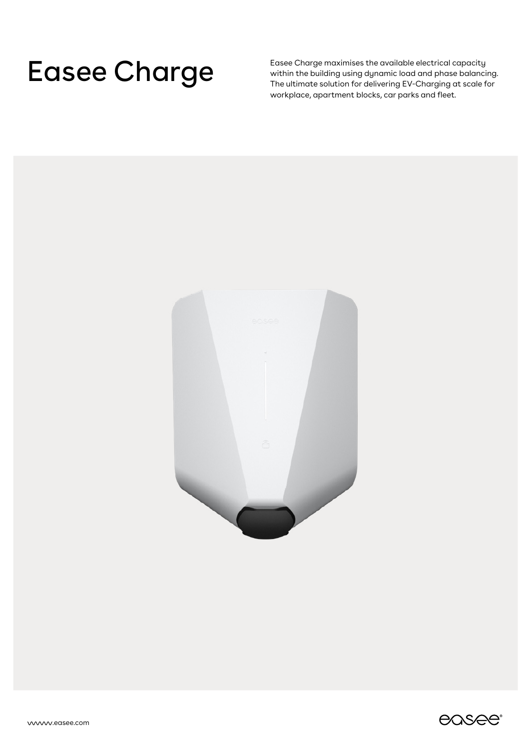Easee Charge maximises the available electrical capacity<br>The ultimate solution for delivering EV-Charging at scale f within the building using dynamic load and phase balancing. The ultimate solution for delivering EV-Charging at scale for workplace, apartment blocks, car parks and fleet.



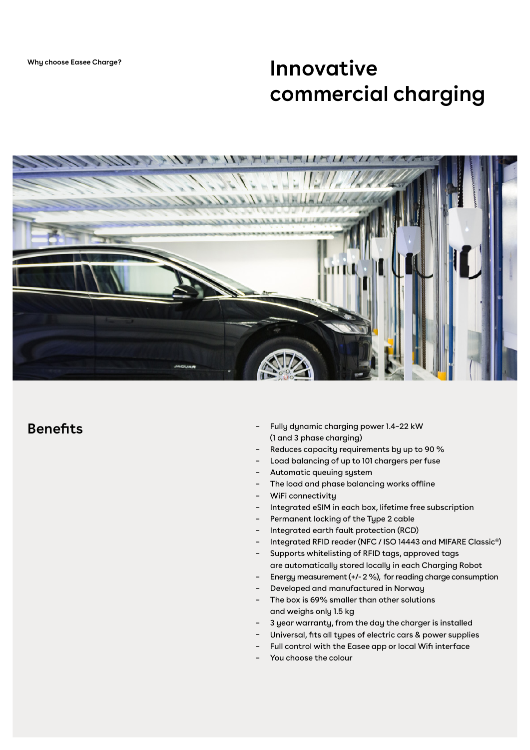## **Innovative commercial charging**



### **Benefits**

- Fully dynamic charging power 1.4–22 kW (1 and 3 phase charging) –
- Reduces capacity requirements by up to 90 % –
- Load balancing of up to 101 chargers per fuse
- Automatic queuing system –
- The load and phase balancing works offline –
- WiFi connectivity –
- Integrated eSIM in each box, lifetime free subscription –
- Permanent locking of the Type 2 cable –
- Integrated earth fault protection (RCD) –
- Integrated RFID reader (NFC / ISO 14443 and MIFARE Classic®) –
- Supports whitelisting of RFID tags, approved tags –
- are automatically stored locally in each Charging Robot
- Energy measurement (+/- 2 %), for reading charge consumption –
- Developed and manufactured in Norway –
- The box is 69% smaller than other solutions and weighs only 1.5 kg –
- 3 year warranty, from the day the charger is installed –
- Universal, fits all types of electric cars & power supplies –
- Full control with the Easee app or local Wifi interface –
- You choose the colour –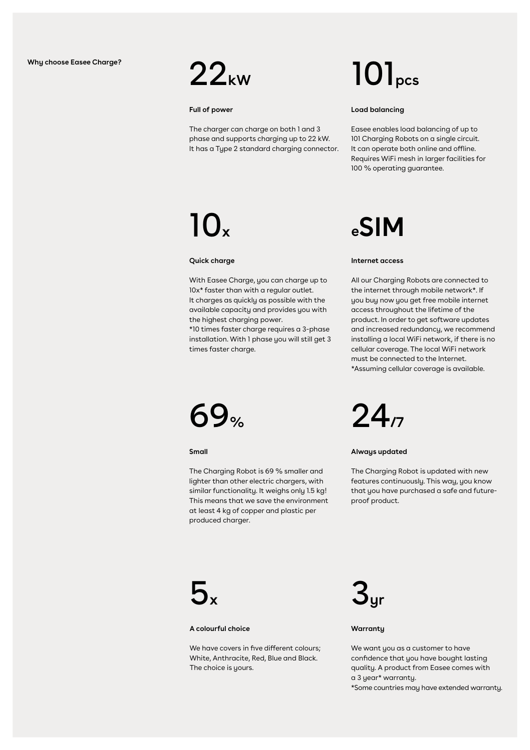

#### **Full of power**

The charger can charge on both 1 and 3 phase and supports charging up to 22 kW. It has a Type 2 standard charging connector.

With Easee Charge, you can charge up to 10x\* faster than with a regular outlet. It charges as quickly as possible with the available capacity and provides you with

\*10 times faster charge requires a 3-phase installation. With 1 phase you will still get 3

the highest charging power.

# 22**kW** 101**pcs**

#### **Load balancing**

Easee enables load balancing of up to 101 Charging Robots on a single circuit. It can operate both online and offline. Requires WiFi mesh in larger facilities for 100 % operating guarantee.

# 10**<sup>x</sup>**

**Quick charge**

# **eSIM**

#### **Internet access**

All our Charging Robots are connected to the internet through mobile network\*. If you buy now you get free mobile internet access throughout the lifetime of the product. In order to get software updates and increased redundancy, we recommend installing a local WiFi network, if there is no cellular coverage. The local WiFi network must be connected to the Internet. \*Assuming cellular coverage is available.

69**%** 24**/7**

times faster charge.

**Small**

The Charging Robot is 69 % smaller and lighter than other electric chargers, with similar functionality. It weighs only 1.5 kg! This means that we save the environment at least 4 kg of copper and plastic per produced charger.



**Always updated**

The Charging Robot is updated with new features continuously. This way, you know that you have purchased a safe and futureproof product.



#### **A colourful choice**

We have covers in five different colours; White, Anthracite, Red, Blue and Black. The choice is yours.



#### **Warranty**

We want you as a customer to have confidence that you have bought lasting quality. A product from Easee comes with a 3 year\* warranty.

\*Some countries may have extended warranty.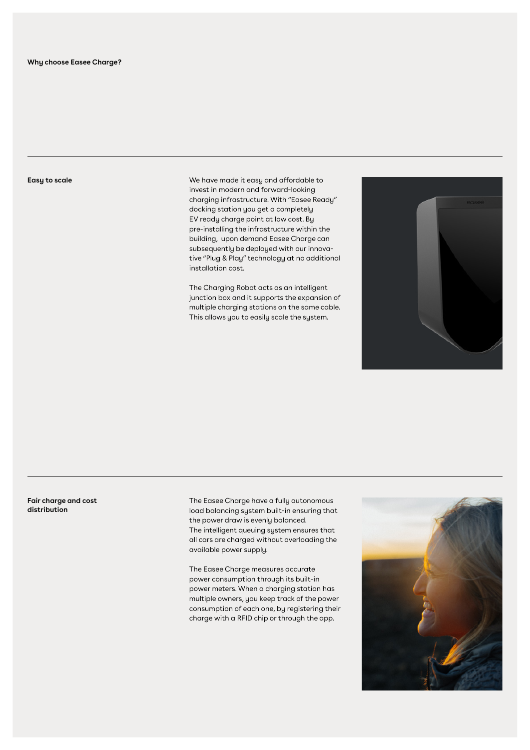**Easy to scale**

We have made it easy and affordable to invest in modern and forward-looking charging infrastructure. With "Easee Ready" docking station you get a completely EV ready charge point at low cost. By pre-installing the infrastructure within the building, upon demand Easee Charge can subsequently be deployed with our innovative "Plug & Play" technology at no additional installation cost.

The Charging Robot acts as an intelligent junction box and it supports the expansion of multiple charging stations on the same cable. This allows you to easily scale the system.



**Fair charge and cost distribution**

The Easee Charge have a fully autonomous load balancing system built-in ensuring that the power draw is evenly balanced. The intelligent queuing system ensures that all cars are charged without overloading the available power supply.

The Easee Charge measures accurate power consumption through its built-in power meters. When a charging station has multiple owners, you keep track of the power consumption of each one, by registering their charge with a RFID chip or through the app.

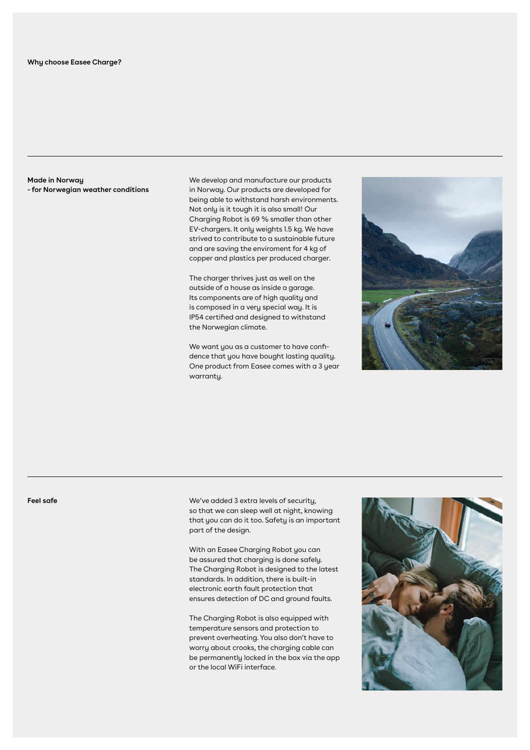**Made in Norway - for Norwegian weather conditions** We develop and manufacture our products in Norway. Our products are developed for being able to withstand harsh environments. Not only is it tough it is also small! Our Charging Robot is 69 % smaller than other EV-chargers. It only weights 1.5 kg. We have strived to contribute to a sustainable future and are saving the enviroment for 4 kg of copper and plastics per produced charger.

The charger thrives just as well on the outside of a house as inside a garage. Its components are of high quality and is composed in a very special way. It is IP54 certified and designed to withstand the Norwegian climate.

We want you as a customer to have confidence that you have bought lasting quality. One product from Easee comes with a 3 year warranty.



**Feel safe**

We've added 3 extra levels of security, so that we can sleep well at night, knowing that you can do it too. Safety is an important part of the design.

With an Easee Charging Robot you can be assured that charging is done safely. The Charging Robot is designed to the latest standards. In addition, there is built-in electronic earth fault protection that ensures detection of DC and ground faults.

The Charging Robot is also equipped with temperature sensors and protection to prevent overheating. You also don't have to worry about crooks, the charging cable can be permanently locked in the box via the app or the local WiFi interface.

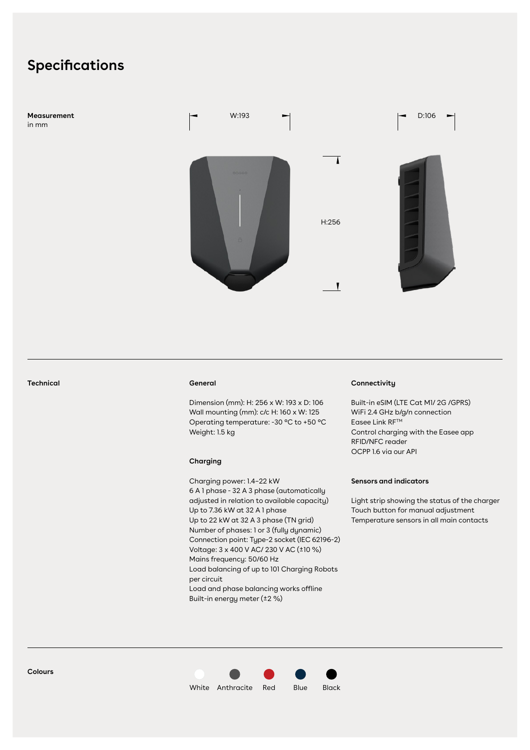### **Specifications**

**Measurement**  in mm



**Technical**

#### **General**

Dimension (mm): H: 256 x W: 193 x D: 106 Wall mounting (mm): c/c H: 160 x W: 125 Operating temperature: -30 °C to +50 °C Weight: 1.5 kg

#### **Charging**

Charging power: 1.4–22 kW 6 A 1 phase - 32 A 3 phase (automatically adjusted in relation to available capacity) Up to 7.36 kW at 32 A 1 phase Up to 22 kW at 32 A 3 phase (TN grid) Number of phases: 1 or 3 (fully dynamic) Connection point: Type-2 socket (IEC 62196-2) Voltage: 3 x 400 V AC/ 230 V AC (±10 %) Mains frequency: 50/60 Hz Load balancing of up to 101 Charging Robots per circuit Load and phase balancing works offline Built-in energy meter (±2 %)

#### **Connectivity**

Built-in eSIM (LTE Cat M1/ 2G /GPRS) WiFi 2.4 GHz b/g/n connection Easee Link RFTM Control charging with the Easee app RFID/NFC reader OCPP 1.6 via our API

#### **Sensors and indicators**

Light strip showing the status of the charger Touch button for manual adjustment Temperature sensors in all main contacts



White Anthracite Red Blue Black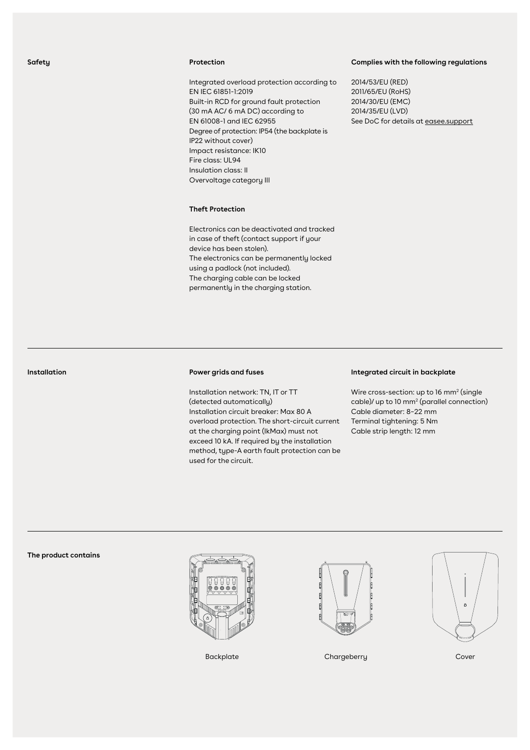#### **Safety**

#### **Protection**

Integrated overload protection according to EN IEC 61851-1:2019 Built-in RCD for ground fault protection (30 mA AC/ 6 mA DC) according to EN 61008-1 and IEC 62955 Degree of protection: IP54 (the backplate is IP22 without cover) Impact resistance: IK10 Fire class: UL94 Insulation class: II Overvoltage category III

#### **Complies with the following regulations**

2014/53/EU (RED) 2011/65/EU (RoHS) 2014/30/EU (EMC) 2014/35/EU (LVD) See DoC for details at [easee.support](https://easee-international.com/uk/user-support/#documents)

#### **Theft Protection**

Electronics can be deactivated and tracked in case of theft (contact support if your device has been stolen). The electronics can be permanently locked using a padlock (not included). The charging cable can be locked permanently in the charging station.

## **Installation**

#### **Power grids and fuses**

Installation network: TN, IT or TT (detected automatically) Installation circuit breaker: Max 80 A overload protection. The short-circuit current at the charging point (IkMax) must not exceed 10 kA. If required by the installation method, type-A earth fault protection can be used for the circuit.

#### **Integrated circuit in backplate**

Wire cross-section: up to  $16 \text{ mm}^2$  (single cable)/ up to 10 mm2 (parallel connection) Cable diameter: 8–22 mm Terminal tightening: 5 Nm Cable strip length: 12 mm

#### **The product contains**







Backplate Chargeberry Chargeberry Cover